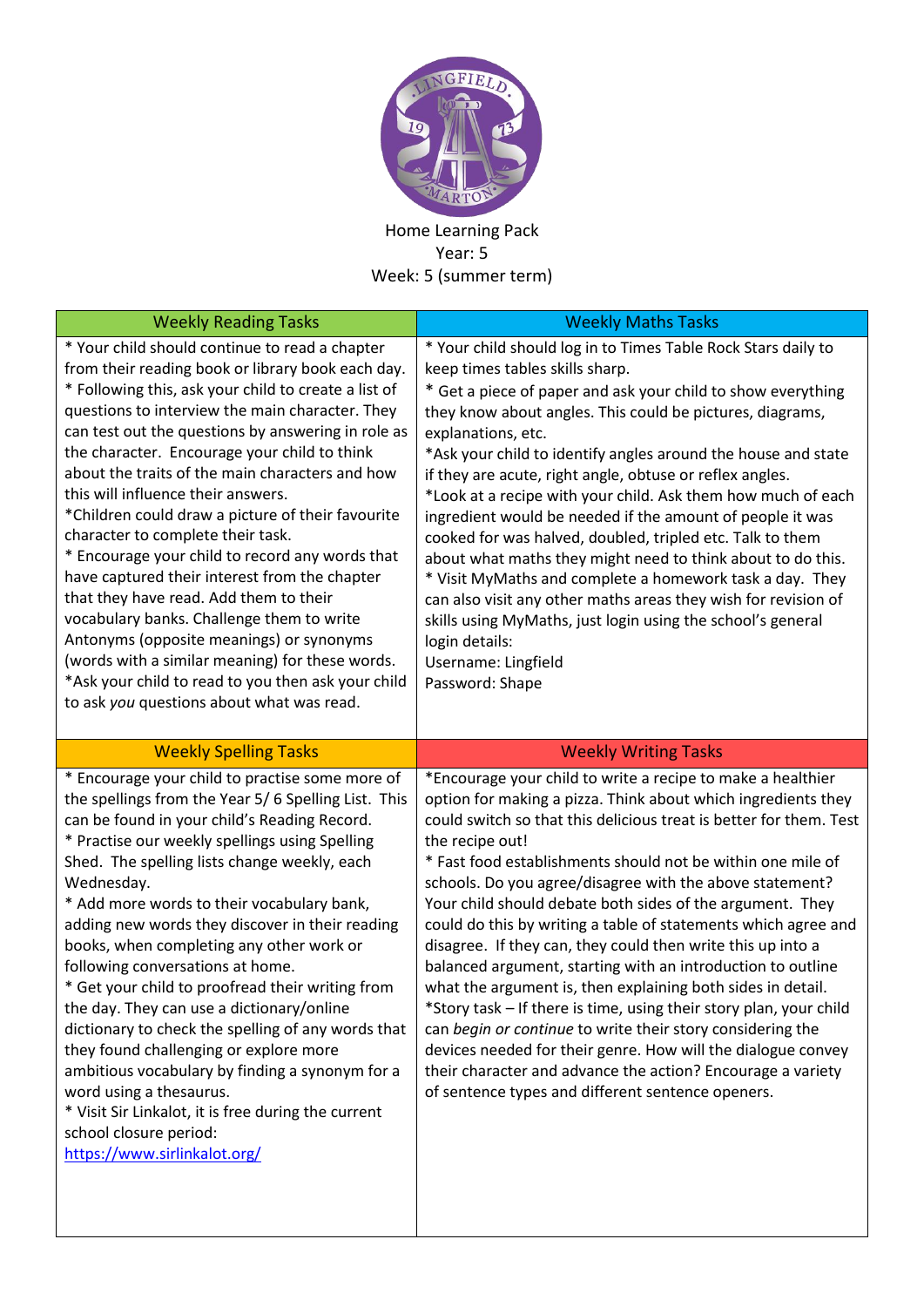

Home Learning Pack Year: 5 Week: 5 (summer term)

| <b>Weekly Reading Tasks</b>                                                                                                                                                                                                                                                                                                                                                                                                                                                                                                                                                                                                                                                                                                                                                                                                                                                                          | <b>Weekly Maths Tasks</b>                                                                                                                                                                                                                                                                                                                                                                                                                                                                                                                                                                                                                                                                                                                                                                                                                                                                                                                                                                            |
|------------------------------------------------------------------------------------------------------------------------------------------------------------------------------------------------------------------------------------------------------------------------------------------------------------------------------------------------------------------------------------------------------------------------------------------------------------------------------------------------------------------------------------------------------------------------------------------------------------------------------------------------------------------------------------------------------------------------------------------------------------------------------------------------------------------------------------------------------------------------------------------------------|------------------------------------------------------------------------------------------------------------------------------------------------------------------------------------------------------------------------------------------------------------------------------------------------------------------------------------------------------------------------------------------------------------------------------------------------------------------------------------------------------------------------------------------------------------------------------------------------------------------------------------------------------------------------------------------------------------------------------------------------------------------------------------------------------------------------------------------------------------------------------------------------------------------------------------------------------------------------------------------------------|
| * Your child should continue to read a chapter<br>from their reading book or library book each day.<br>* Following this, ask your child to create a list of<br>questions to interview the main character. They<br>can test out the questions by answering in role as<br>the character. Encourage your child to think<br>about the traits of the main characters and how<br>this will influence their answers.<br>*Children could draw a picture of their favourite<br>character to complete their task.<br>* Encourage your child to record any words that<br>have captured their interest from the chapter<br>that they have read. Add them to their<br>vocabulary banks. Challenge them to write<br>Antonyms (opposite meanings) or synonyms<br>(words with a similar meaning) for these words.<br>*Ask your child to read to you then ask your child<br>to ask you questions about what was read. | * Your child should log in to Times Table Rock Stars daily to<br>keep times tables skills sharp.<br>* Get a piece of paper and ask your child to show everything<br>they know about angles. This could be pictures, diagrams,<br>explanations, etc.<br>*Ask your child to identify angles around the house and state<br>if they are acute, right angle, obtuse or reflex angles.<br>*Look at a recipe with your child. Ask them how much of each<br>ingredient would be needed if the amount of people it was<br>cooked for was halved, doubled, tripled etc. Talk to them<br>about what maths they might need to think about to do this.<br>* Visit MyMaths and complete a homework task a day. They<br>can also visit any other maths areas they wish for revision of<br>skills using MyMaths, just login using the school's general<br>login details:<br>Username: Lingfield<br>Password: Shape                                                                                                   |
| <b>Weekly Spelling Tasks</b>                                                                                                                                                                                                                                                                                                                                                                                                                                                                                                                                                                                                                                                                                                                                                                                                                                                                         | <b>Weekly Writing Tasks</b>                                                                                                                                                                                                                                                                                                                                                                                                                                                                                                                                                                                                                                                                                                                                                                                                                                                                                                                                                                          |
| * Encourage your child to practise some more of<br>the spellings from the Year 5/6 Spelling List. This<br>can be found in your child's Reading Record.<br>* Practise our weekly spellings using Spelling<br>Shed. The spelling lists change weekly, each<br>Wednesday.<br>* Add more words to their vocabulary bank,<br>adding new words they discover in their reading<br>books, when completing any other work or<br>following conversations at home.<br>* Get your child to proofread their writing from<br>the day. They can use a dictionary/online<br>dictionary to check the spelling of any words that<br>they found challenging or explore more<br>ambitious vocabulary by finding a synonym for a<br>word using a thesaurus.<br>* Visit Sir Linkalot, it is free during the current<br>school closure period:<br>https://www.sirlinkalot.org/                                              | *Encourage your child to write a recipe to make a healthier<br>option for making a pizza. Think about which ingredients they<br>could switch so that this delicious treat is better for them. Test<br>the recipe out!<br>* Fast food establishments should not be within one mile of<br>schools. Do you agree/disagree with the above statement?<br>Your child should debate both sides of the argument. They<br>could do this by writing a table of statements which agree and<br>disagree. If they can, they could then write this up into a<br>balanced argument, starting with an introduction to outline<br>what the argument is, then explaining both sides in detail.<br>*Story task – If there is time, using their story plan, your child<br>can begin or continue to write their story considering the<br>devices needed for their genre. How will the dialogue convey<br>their character and advance the action? Encourage a variety<br>of sentence types and different sentence openers. |